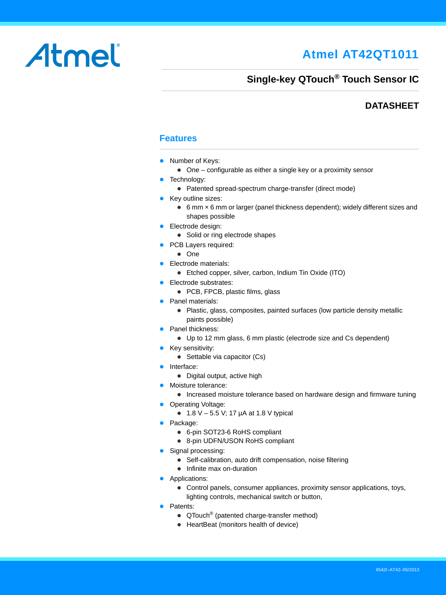# **Atmel AT42QT1011**

# Atmel

# **Single-key QTouch® Touch Sensor IC**

### **DATASHEET**

### **Features**

- Number of Keys:
	- One configurable as either a single key or a proximity sensor
- Technology:
	- Patented spread-spectrum charge-transfer (direct mode)
- Key outline sizes:
	- 6 mm × 6 mm or larger (panel thickness dependent); widely different sizes and shapes possible
- **Electrode design:** 
	- Solid or ring electrode shapes
- PCB Layers required:
	- One
- **Electrode materials:** 
	- Etched copper, silver, carbon, Indium Tin Oxide (ITO)
- **•** Electrode substrates:
	- PCB, FPCB, plastic films, glass
- Panel materials:
	- Plastic, glass, composites, painted surfaces (low particle density metallic paints possible)
- Panel thickness:
	- Up to 12 mm glass, 6 mm plastic (electrode size and Cs dependent)
- Key sensitivity:
	- Settable via capacitor (Cs)
- **•** Interface:
	- Digital output, active high
- Moisture tolerance:
	- Increased moisture tolerance based on hardware design and firmware tuning
- Operating Voltage:
	- 1.8 V 5.5 V; 17  $\mu$ A at 1.8 V typical
- Package:
	- 6-pin SOT23-6 RoHS compliant
	- 8-pin UDFN/USON RoHS compliant
- Signal processing:
	- Self-calibration, auto drift compensation, noise filtering
	- Infinite max on-duration
- **Applications:** 
	- Control panels, consumer appliances, proximity sensor applications, toys, lighting controls, mechanical switch or button,
- **•** Patents:
	- QTouch<sup>®</sup> (patented charge-transfer method)
	- HeartBeat (monitors health of device)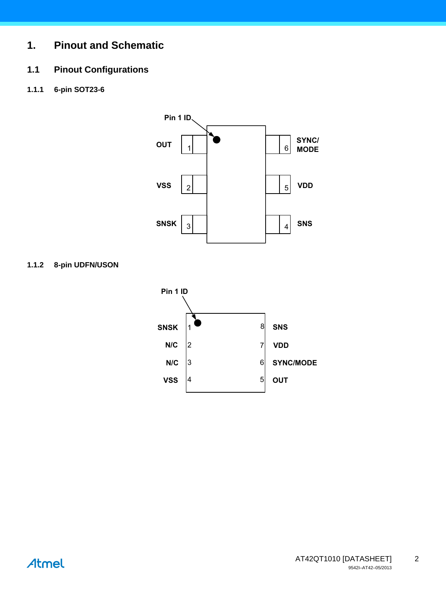# **1. Pinout and Schematic**

## **1.1 Pinout Configurations**

**1.1.1 6-pin SOT23-6**



#### **1.1.2 8-pin UDFN/USON**

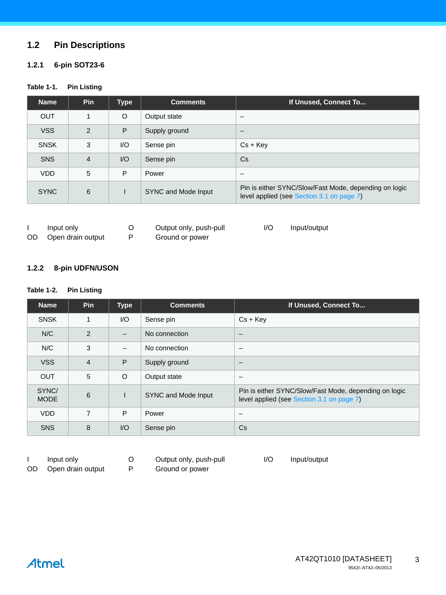### **1.2 Pin Descriptions**

#### **1.2.1 6-pin SOT23-6**

#### **Table 1-1. Pin Listing**

| <b>Name</b> | <b>Pin</b> | <b>Type</b>             | <b>Comments</b>     | If Unused, Connect To                                                                              |
|-------------|------------|-------------------------|---------------------|----------------------------------------------------------------------------------------------------|
| <b>OUT</b>  |            | O                       | Output state        | -                                                                                                  |
| <b>VSS</b>  | 2          | P                       | Supply ground       |                                                                                                    |
| <b>SNSK</b> | 3          | $\mathsf{IO}$           | Sense pin           | $Cs + KeV$                                                                                         |
| <b>SNS</b>  | 4          | $\mathsf{I}/\mathsf{O}$ | Sense pin           | Cs.                                                                                                |
| <b>VDD</b>  | 5          | P                       | Power               | -                                                                                                  |
| <b>SYNC</b> | 6          |                         | SYNC and Mode Input | Pin is either SYNC/Slow/Fast Mode, depending on logic<br>level applied (see Section 3.1 on page 7) |

|     | Input only        | Output only, push-pull | I/O | Input/output |
|-----|-------------------|------------------------|-----|--------------|
| OD. | Open drain output | Ground or power        |     |              |

#### **1.2.2 8-pin UDFN/USON**

#### **Table 1-2. Pin Listing**

| <b>Name</b>          | <b>Pin</b>     | <b>Type</b>              | <b>Comments</b>     | If Unused, Connect To                                                                              |
|----------------------|----------------|--------------------------|---------------------|----------------------------------------------------------------------------------------------------|
| <b>SNSK</b>          | 1              | $\mathsf{U}\mathsf{O}$   | Sense pin           | $Cs + Key$                                                                                         |
| N/C                  | 2              | $\overline{\phantom{0}}$ | No connection       | $\overline{\phantom{0}}$                                                                           |
| N/C                  | 3              |                          | No connection       |                                                                                                    |
| <b>VSS</b>           | $\overline{4}$ | P                        | Supply ground       |                                                                                                    |
| <b>OUT</b>           | 5              | $\circ$                  | Output state        |                                                                                                    |
| SYNC/<br><b>MODE</b> | 6              |                          | SYNC and Mode Input | Pin is either SYNC/Slow/Fast Mode, depending on logic<br>level applied (see Section 3.1 on page 7) |
| <b>VDD</b>           | 7              | P                        | Power               | -                                                                                                  |
| <b>SNS</b>           | 8              | $U$                      | Sense pin           | Cs                                                                                                 |

# I Input only O Output only, push-pull I/O Input/output

- 
- OD Open drain output P Ground or power
- 
-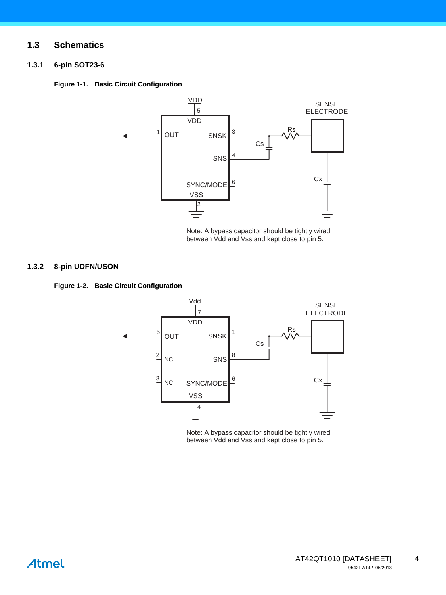#### **1.3 Schematics**

#### **1.3.1 6-pin SOT23-6**

<span id="page-3-0"></span>



Note: A bypass capacitor should be tightly wired between Vdd and Vss and kept close to pin 5.

#### **1.3.2 8-pin UDFN/USON**

<span id="page-3-1"></span>



Note: A bypass capacitor should be tightly wired between Vdd and Vss and kept close to pin 5.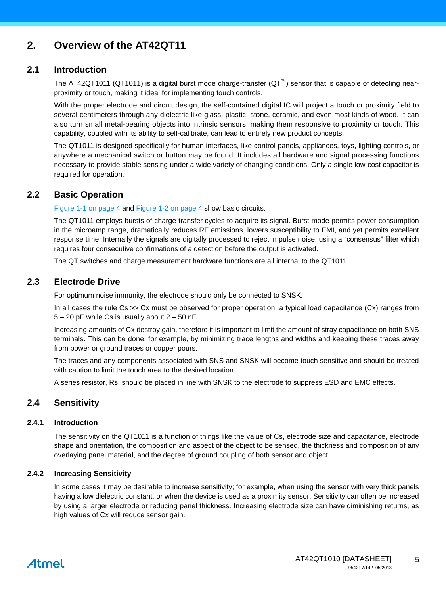# **2. Overview of the AT42QT11**

#### **2.1 Introduction**

The AT42QT1011 (QT1011) is a digital burst mode charge-transfer (QT™) sensor that is capable of detecting nearproximity or touch, making it ideal for implementing touch controls.

With the proper electrode and circuit design, the self-contained digital IC will project a touch or proximity field to several centimeters through any dielectric like glass, plastic, stone, ceramic, and even most kinds of wood. It can also turn small metal-bearing objects into intrinsic sensors, making them responsive to proximity or touch. This capability, coupled with its ability to self-calibrate, can lead to entirely new product concepts.

The QT1011 is designed specifically for human interfaces, like control panels, appliances, toys, lighting controls, or anywhere a mechanical switch or button may be found. It includes all hardware and signal processing functions necessary to provide stable sensing under a wide variety of changing conditions. Only a single low-cost capacitor is required for operation.

#### **2.2 Basic Operation**

[Figure 1-1 on page 4](#page-3-0) and [Figure 1-2 on page 4](#page-3-1) show basic circuits.

The QT1011 employs bursts of charge-transfer cycles to acquire its signal. Burst mode permits power consumption in the microamp range, dramatically reduces RF emissions, lowers susceptibility to EMI, and yet permits excellent response time. Internally the signals are digitally processed to reject impulse noise, using a "consensus" filter which requires four consecutive confirmations of a detection before the output is activated.

The QT switches and charge measurement hardware functions are all internal to the QT1011.

#### **2.3 Electrode Drive**

For optimum noise immunity, the electrode should only be connected to SNSK.

In all cases the rule Cs >> Cx must be observed for proper operation; a typical load capacitance (Cx) ranges from  $5 - 20$  pF while Cs is usually about  $2 - 50$  nF.

Increasing amounts of Cx destroy gain, therefore it is important to limit the amount of stray capacitance on both SNS terminals. This can be done, for example, by minimizing trace lengths and widths and keeping these traces away from power or ground traces or copper pours.

The traces and any components associated with SNS and SNSK will become touch sensitive and should be treated with caution to limit the touch area to the desired location.

A series resistor, Rs, should be placed in line with SNSK to the electrode to suppress ESD and EMC effects.

### **2.4 Sensitivity**

#### **2.4.1 Introduction**

The sensitivity on the QT1011 is a function of things like the value of Cs, electrode size and capacitance, electrode shape and orientation, the composition and aspect of the object to be sensed, the thickness and composition of any overlaying panel material, and the degree of ground coupling of both sensor and object.

#### <span id="page-4-0"></span>**2.4.2 Increasing Sensitivity**

In some cases it may be desirable to increase sensitivity; for example, when using the sensor with very thick panels having a low dielectric constant, or when the device is used as a proximity sensor. Sensitivity can often be increased by using a larger electrode or reducing panel thickness. Increasing electrode size can have diminishing returns, as high values of Cx will reduce sensor gain.

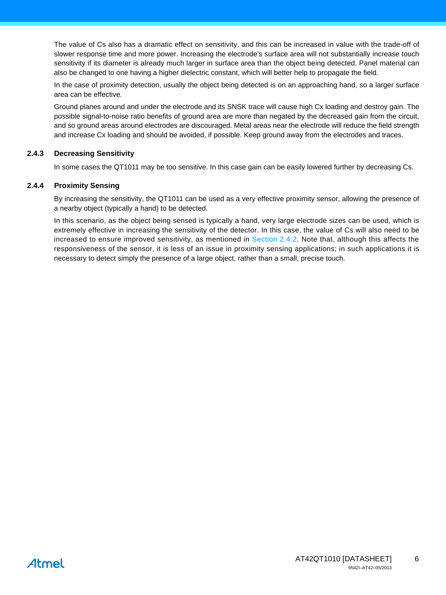The value of Cs also has a dramatic effect on sensitivity, and this can be increased in value with the trade-off of slower response time and more power. Increasing the electrode's surface area will not substantially increase touch sensitivity if its diameter is already much larger in surface area than the object being detected. Panel material can also be changed to one having a higher dielectric constant, which will better help to propagate the field.

In the case of proximity detection, usually the object being detected is on an approaching hand, so a larger surface area can be effective.

Ground planes around and under the electrode and its SNSK trace will cause high Cx loading and destroy gain. The possible signal-to-noise ratio benefits of ground area are more than negated by the decreased gain from the circuit, and so ground areas around electrodes are discouraged. Metal areas near the electrode will reduce the field strength and increase Cx loading and should be avoided, if possible. Keep ground away from the electrodes and traces.

#### **2.4.3 Decreasing Sensitivity**

In some cases the QT1011 may be too sensitive. In this case gain can be easily lowered further by decreasing Cs.

#### **2.4.4 Proximity Sensing**

By increasing the sensitivity, the QT1011 can be used as a very effective proximity sensor, allowing the presence of a nearby object (typically a hand) to be detected.

In this scenario, as the object being sensed is typically a hand, very large electrode sizes can be used, which is extremely effective in increasing the sensitivity of the detector. In this case, the value of Cs will also need to be increased to ensure improved sensitivity, as mentioned in [Section 2.4.2](#page-4-0). Note that, although this affects the responsiveness of the sensor, it is less of an issue in proximity sensing applications; in such applications it is necessary to detect simply the presence of a large object, rather than a small, precise touch.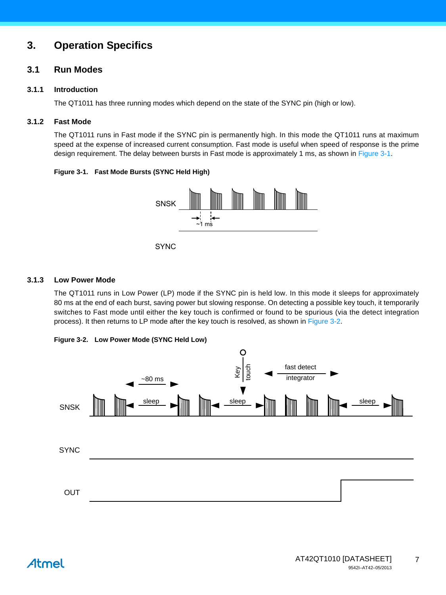# **3. Operation Specifics**

#### <span id="page-6-0"></span>**3.1 Run Modes**

#### **3.1.1 Introduction**

The QT1011 has three running modes which depend on the state of the SYNC pin (high or low).

#### **3.1.2 Fast Mode**

The QT1011 runs in Fast mode if the SYNC pin is permanently high. In this mode the QT1011 runs at maximum speed at the expense of increased current consumption. Fast mode is useful when speed of response is the prime design requirement. The delay between bursts in Fast mode is approximately 1 ms, as shown in [Figure 3-1](#page-6-2).

#### <span id="page-6-2"></span>**Figure 3-1. Fast Mode Bursts (SYNC Held High)**



**SYNC** 

#### **3.1.3 Low Power Mode**

The QT1011 runs in Low Power (LP) mode if the SYNC pin is held low. In this mode it sleeps for approximately 80 ms at the end of each burst, saving power but slowing response. On detecting a possible key touch, it temporarily switches to Fast mode until either the key touch is confirmed or found to be spurious (via the detect integration process). It then returns to LP mode after the key touch is resolved, as shown in [Figure 3-2](#page-6-1).

<span id="page-6-1"></span>

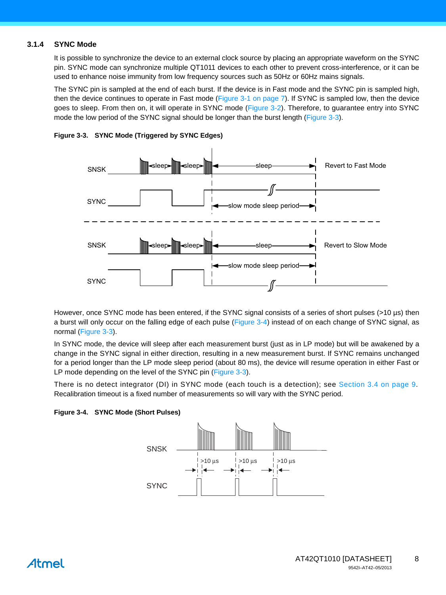#### **3.1.4 SYNC Mode**

It is possible to synchronize the device to an external clock source by placing an appropriate waveform on the SYNC pin. SYNC mode can synchronize multiple QT1011 devices to each other to prevent cross-interference, or it can be used to enhance noise immunity from low frequency sources such as 50Hz or 60Hz mains signals.

The SYNC pin is sampled at the end of each burst. If the device is in Fast mode and the SYNC pin is sampled high, then the device continues to operate in Fast mode [\(Figure 3-1 on page 7](#page-6-2)). If SYNC is sampled low, then the device goes to sleep. From then on, it will operate in SYNC mode ([Figure 3-2](#page-6-1)). Therefore, to guarantee entry into SYNC mode the low period of the SYNC signal should be longer than the burst length [\(Figure 3-3](#page-7-0)).



<span id="page-7-0"></span>

However, once SYNC mode has been entered, if the SYNC signal consists of a series of short pulses (>10 µs) then a burst will only occur on the falling edge of each pulse [\(Figure 3-4\)](#page-7-1) instead of on each change of SYNC signal, as normal ([Figure 3-3](#page-7-0)).

In SYNC mode, the device will sleep after each measurement burst (just as in LP mode) but will be awakened by a change in the SYNC signal in either direction, resulting in a new measurement burst. If SYNC remains unchanged for a period longer than the LP mode sleep period (about 80 ms), the device will resume operation in either Fast or LP mode depending on the level of the SYNC pin ([Figure 3-3\)](#page-7-0).

There is no detect integrator (DI) in SYNC mode (each touch is a detection); see [Section 3.4 on page 9.](#page-8-0) Recalibration timeout is a fixed number of measurements so will vary with the SYNC period.

<span id="page-7-1"></span>

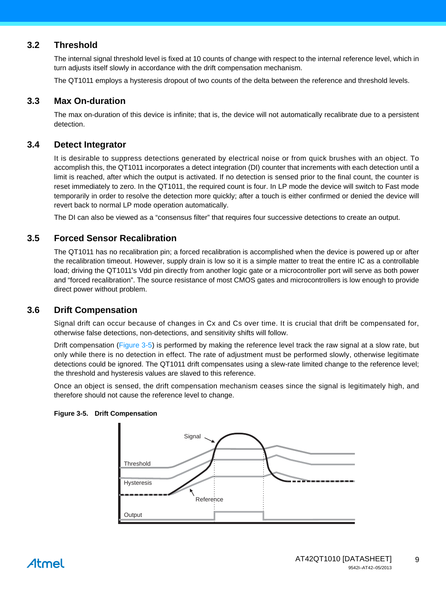### **3.2 Threshold**

The internal signal threshold level is fixed at 10 counts of change with respect to the internal reference level, which in turn adjusts itself slowly in accordance with the drift compensation mechanism.

The QT1011 employs a hysteresis dropout of two counts of the delta between the reference and threshold levels.

#### **3.3 Max On-duration**

The max on-duration of this device is infinite; that is, the device will not automatically recalibrate due to a persistent detection.

#### <span id="page-8-0"></span>**3.4 Detect Integrator**

It is desirable to suppress detections generated by electrical noise or from quick brushes with an object. To accomplish this, the QT1011 incorporates a detect integration (DI) counter that increments with each detection until a limit is reached, after which the output is activated. If no detection is sensed prior to the final count, the counter is reset immediately to zero. In the QT1011, the required count is four. In LP mode the device will switch to Fast mode temporarily in order to resolve the detection more quickly; after a touch is either confirmed or denied the device will revert back to normal LP mode operation automatically.

The DI can also be viewed as a "consensus filter" that requires four successive detections to create an output.

#### **3.5 Forced Sensor Recalibration**

The QT1011 has no recalibration pin; a forced recalibration is accomplished when the device is powered up or after the recalibration timeout. However, supply drain is low so it is a simple matter to treat the entire IC as a controllable load; driving the QT1011's Vdd pin directly from another logic gate or a microcontroller port will serve as both power and "forced recalibration". The source resistance of most CMOS gates and microcontrollers is low enough to provide direct power without problem.

#### **3.6 Drift Compensation**

Signal drift can occur because of changes in Cx and Cs over time. It is crucial that drift be compensated for, otherwise false detections, non-detections, and sensitivity shifts will follow.

Drift compensation ([Figure 3-5](#page-8-1)) is performed by making the reference level track the raw signal at a slow rate, but only while there is no detection in effect. The rate of adjustment must be performed slowly, otherwise legitimate detections could be ignored. The QT1011 drift compensates using a slew-rate limited change to the reference level; the threshold and hysteresis values are slaved to this reference.

Once an object is sensed, the drift compensation mechanism ceases since the signal is legitimately high, and therefore should not cause the reference level to change.



#### <span id="page-8-1"></span>**Figure 3-5. Drift Compensation**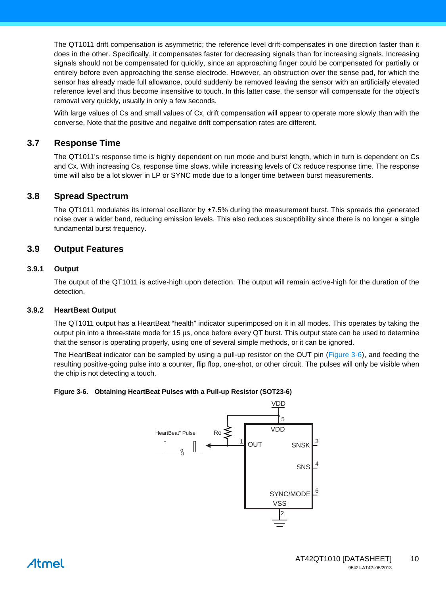The QT1011 drift compensation is asymmetric; the reference level drift-compensates in one direction faster than it does in the other. Specifically, it compensates faster for decreasing signals than for increasing signals. Increasing signals should not be compensated for quickly, since an approaching finger could be compensated for partially or entirely before even approaching the sense electrode. However, an obstruction over the sense pad, for which the sensor has already made full allowance, could suddenly be removed leaving the sensor with an artificially elevated reference level and thus become insensitive to touch. In this latter case, the sensor will compensate for the object's removal very quickly, usually in only a few seconds.

With large values of Cs and small values of Cx, drift compensation will appear to operate more slowly than with the converse. Note that the positive and negative drift compensation rates are different.

#### **3.7 Response Time**

The QT1011's response time is highly dependent on run mode and burst length, which in turn is dependent on Cs and Cx. With increasing Cs, response time slows, while increasing levels of Cx reduce response time. The response time will also be a lot slower in LP or SYNC mode due to a longer time between burst measurements.

#### **3.8 Spread Spectrum**

The QT1011 modulates its internal oscillator by  $\pm$ 7.5% during the measurement burst. This spreads the generated noise over a wider band, reducing emission levels. This also reduces susceptibility since there is no longer a single fundamental burst frequency.

#### **3.9 Output Features**

#### **3.9.1 Output**

The output of the QT1011 is active-high upon detection. The output will remain active-high for the duration of the detection.

#### **3.9.2 HeartBeat Output**

The QT1011 output has a HeartBeat "health" indicator superimposed on it in all modes. This operates by taking the output pin into a three-state mode for 15 µs, once before every QT burst. This output state can be used to determine that the sensor is operating properly, using one of several simple methods, or it can be ignored.

The HeartBeat indicator can be sampled by using a pull-up resistor on the OUT pin [\(Figure 3-6\)](#page-9-0), and feeding the resulting positive-going pulse into a counter, flip flop, one-shot, or other circuit. The pulses will only be visible when the chip is not detecting a touch.

#### <span id="page-9-0"></span>**Figure 3-6. Obtaining HeartBeat Pulses with a Pull-up Resistor (SOT23-6)**

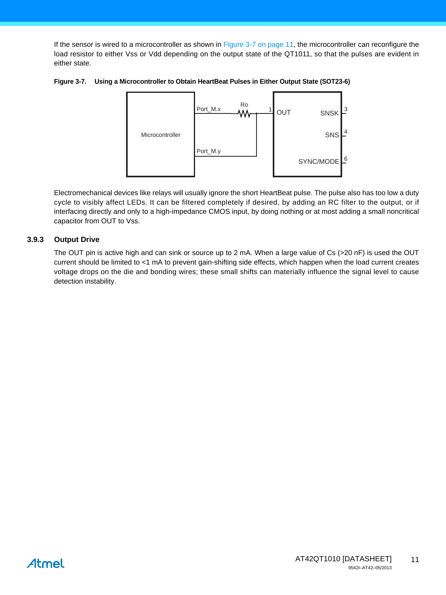If the sensor is wired to a microcontroller as shown in [Figure 3-7 on page 11,](#page-10-0) the microcontroller can reconfigure the load resistor to either Vss or Vdd depending on the output state of the QT1011, so that the pulses are evident in either state.

<span id="page-10-0"></span>



Electromechanical devices like relays will usually ignore the short HeartBeat pulse. The pulse also has too low a duty cycle to visibly affect LEDs. It can be filtered completely if desired, by adding an RC filter to the output, or if interfacing directly and only to a high-impedance CMOS input, by doing nothing or at most adding a small noncritical capacitor from OUT to Vss.

#### **3.9.3 Output Drive**

The OUT pin is active high and can sink or source up to 2 mA. When a large value of Cs (>20 nF) is used the OUT current should be limited to <1 mA to prevent gain-shifting side effects, which happen when the load current creates voltage drops on the die and bonding wires; these small shifts can materially influence the signal level to cause detection instability.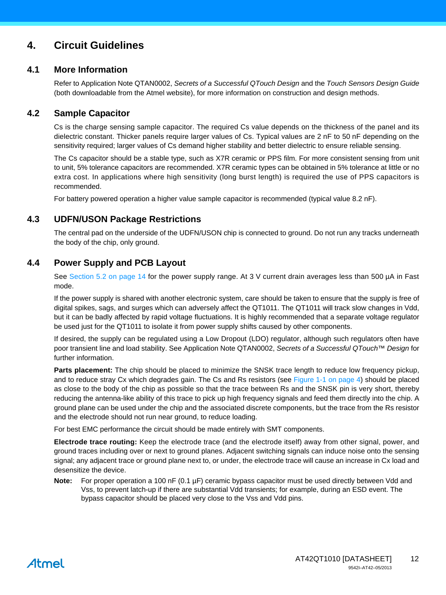# **4. Circuit Guidelines**

#### **4.1 More Information**

Refer to Application Note QTAN0002, *Secrets of a Successful QTouch Design* and the *Touch Sensors Design Guide* (both downloadable from the Atmel website), for more information on construction and design methods.

#### <span id="page-11-0"></span>**4.2 Sample Capacitor**

Cs is the charge sensing sample capacitor. The required Cs value depends on the thickness of the panel and its dielectric constant. Thicker panels require larger values of Cs. Typical values are 2 nF to 50 nF depending on the sensitivity required; larger values of Cs demand higher stability and better dielectric to ensure reliable sensing.

The Cs capacitor should be a stable type, such as X7R ceramic or PPS film. For more consistent sensing from unit to unit, 5% tolerance capacitors are recommended. X7R ceramic types can be obtained in 5% tolerance at little or no extra cost. In applications where high sensitivity (long burst length) is required the use of PPS capacitors is recommended.

For battery powered operation a higher value sample capacitor is recommended (typical value 8.2 nF).

### **4.3 UDFN/USON Package Restrictions**

The central pad on the underside of the UDFN/USON chip is connected to ground. Do not run any tracks underneath the body of the chip, only ground.

### **4.4 Power Supply and PCB Layout**

See [Section 5.2 on page 14](#page-13-0) for the power supply range. At 3 V current drain averages less than 500 µA in Fast mode.

If the power supply is shared with another electronic system, care should be taken to ensure that the supply is free of digital spikes, sags, and surges which can adversely affect the QT1011. The QT1011 will track slow changes in Vdd, but it can be badly affected by rapid voltage fluctuations. It is highly recommended that a separate voltage regulator be used just for the QT1011 to isolate it from power supply shifts caused by other components.

If desired, the supply can be regulated using a Low Dropout (LDO) regulator, although such regulators often have poor transient line and load stability. See Application Note QTAN0002, *Secrets of a Successful QTouch™ Design* for further information.

**Parts placement:** The chip should be placed to minimize the SNSK trace length to reduce low frequency pickup, and to reduce stray Cx which degrades gain. The Cs and Rs resistors (see [Figure 1-1 on page 4](#page-3-0)) should be placed as close to the body of the chip as possible so that the trace between Rs and the SNSK pin is very short, thereby reducing the antenna-like ability of this trace to pick up high frequency signals and feed them directly into the chip. A ground plane can be used under the chip and the associated discrete components, but the trace from the Rs resistor and the electrode should not run near ground, to reduce loading.

For best EMC performance the circuit should be made entirely with SMT components.

**Electrode trace routing:** Keep the electrode trace (and the electrode itself) away from other signal, power, and ground traces including over or next to ground planes. Adjacent switching signals can induce noise onto the sensing signal; any adjacent trace or ground plane next to, or under, the electrode trace will cause an increase in Cx load and desensitize the device.

**Note:** For proper operation a 100 nF (0.1 µF) ceramic bypass capacitor must be used directly between Vdd and Vss, to prevent latch-up if there are substantial Vdd transients; for example, during an ESD event. The bypass capacitor should be placed very close to the Vss and Vdd pins.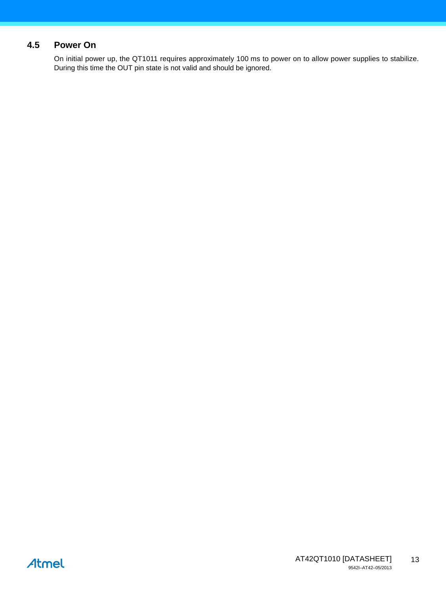# **4.5 Power On**

On initial power up, the QT1011 requires approximately 100 ms to power on to allow power supplies to stabilize. During this time the OUT pin state is not valid and should be ignored.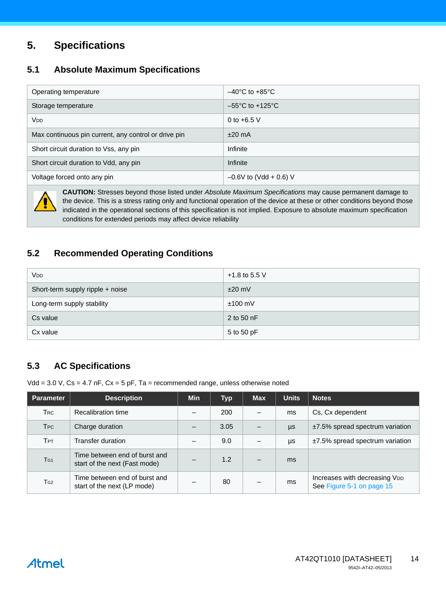# **5. Specifications**

# **5.1 Absolute Maximum Specifications**

| Operating temperature                                | $-40^{\circ}$ C to $+85^{\circ}$ C  |
|------------------------------------------------------|-------------------------------------|
| Storage temperature                                  | $-55^{\circ}$ C to $+125^{\circ}$ C |
| <b>V<sub>DD</sub></b>                                | 0 to $+6.5$ V                       |
| Max continuous pin current, any control or drive pin | $±20$ mA                            |
| Short circuit duration to Vss, any pin               | Infinite                            |
| Short circuit duration to Vdd, any pin               | Infinite                            |
| Voltage forced onto any pin                          | $-0.6V$ to (Vdd + 0.6) V            |



**CAUTION:** Stresses beyond those listed under *Absolute Maximum Specifications* may cause permanent damage to the device. This is a stress rating only and functional operation of the device at these or other conditions beyond those indicated in the operational sections of this specification is not implied. Exposure to absolute maximum specification conditions for extended periods may affect device reliability

# <span id="page-13-0"></span>**5.2 Recommended Operating Conditions**

| <b>V<sub>DD</sub></b>            | +1.8 to 5.5 V |
|----------------------------------|---------------|
| Short-term supply ripple + noise | $±20$ mV      |
| Long-term supply stability       | $±100$ mV     |
| Cs value                         | 2 to 50 $nF$  |
| Cx value                         | 5 to 50 pF    |

# **5.3 AC Specifications**

Vdd =  $3.0$  V, Cs =  $4.7$  nF, Cx =  $5$  pF, Ta = recommended range, unless otherwise noted

| <b>Parameter</b> | <b>Description</b>                                             | <b>Min</b> | <b>Typ</b> | <b>Max</b>               | <b>Units</b> | <b>Notes</b>                                               |
|------------------|----------------------------------------------------------------|------------|------------|--------------------------|--------------|------------------------------------------------------------|
| Trc              | Recalibration time                                             |            | 200        |                          | ms           | Cs, Cx dependent                                           |
| <b>T</b> PC      | Charge duration                                                |            | 3.05       |                          | μs           | $±7.5\%$ spread spectrum variation                         |
| Трт              | Transfer duration                                              |            | 9.0        |                          | μs           | $±7.5\%$ spread spectrum variation                         |
| T <sub>G1</sub>  | Time between end of burst and<br>start of the next (Fast mode) |            | 1.2        | $\overline{\phantom{m}}$ | ms           |                                                            |
| T <sub>G2</sub>  | Time between end of burst and<br>start of the next (LP mode)   |            | 80         |                          | ms           | Increases with decreasing VDD<br>See Figure 5-1 on page 15 |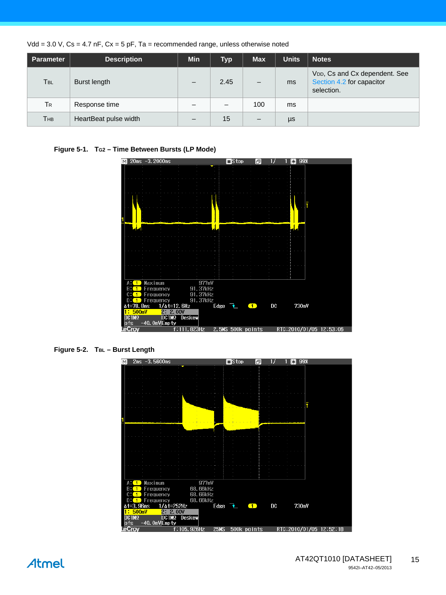| Vdd = $3.0$ V, Cs = $4.7$ nF, Cx = $5$ pF, Ta = recommended range, unless otherwise noted |  |
|-------------------------------------------------------------------------------------------|--|
|-------------------------------------------------------------------------------------------|--|

| <b>Parameter</b> | <b>Description</b>    | <b>Min</b> | <b>Typ</b> | <b>Max</b>      | <b>Units</b> | <b>Notes</b>                                                                          |
|------------------|-----------------------|------------|------------|-----------------|--------------|---------------------------------------------------------------------------------------|
| T <sub>BL</sub>  | Burst length          |            | 2.45       | –               | ms           | V <sub>DD</sub> , Cs and Cx dependent. See<br>Section 4.2 for capacitor<br>selection. |
| TR               | Response time         |            | –          | 100             | ms           |                                                                                       |
| Тнв              | HeartBeat pulse width |            | 15         | $\qquad \qquad$ | μs           |                                                                                       |

#### <span id="page-14-0"></span>Figure 5-1. T<sub>G2</sub> – Time Between Bursts (LP Mode)



**Figure 5-2. TBL – Burst Length** 

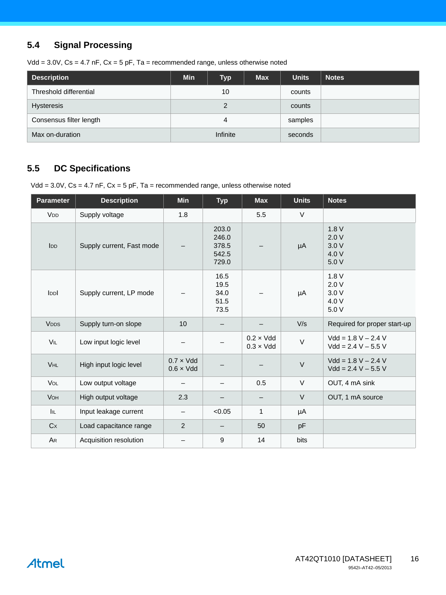# **5.4 Signal Processing**

Vdd =  $3.0V$ , Cs =  $4.7$  nF, Cx =  $5$  pF, Ta = recommended range, unless otherwise noted

| Description             | <b>Min</b> | Typ | <b>Max</b> | <b>Units</b> | <b>Notes</b> |
|-------------------------|------------|-----|------------|--------------|--------------|
| Threshold differential  |            | 10  |            | counts       |              |
| <b>Hysteresis</b>       |            |     | counts     |              |              |
| Consensus filter length | 4          |     | samples    |              |              |
| Max on-duration         | Infinite   |     | seconds    |              |              |

# **5.5 DC Specifications**

Vdd = 3.0V, Cs = 4.7 nF, Cx = 5 pF, Ta = recommended range, unless otherwise noted

| <b>Parameter</b>      | <b>Description</b>        | Min                                    | <b>Typ</b>                                | <b>Max</b>                             | <b>Units</b> | <b>Notes</b>                                   |
|-----------------------|---------------------------|----------------------------------------|-------------------------------------------|----------------------------------------|--------------|------------------------------------------------|
| <b>V<sub>DD</sub></b> | Supply voltage            | 1.8                                    |                                           | 5.5                                    | $\vee$       |                                                |
| I <sub>DD</sub>       | Supply current, Fast mode |                                        | 203.0<br>246.0<br>378.5<br>542.5<br>729.0 |                                        | μA           | 1.8V<br>2.0V<br>3.0V<br>4.0 V<br>5.0 V         |
| lopl                  | Supply current, LP mode   |                                        | 16.5<br>19.5<br>34.0<br>51.5<br>73.5      |                                        | μA           | 1.8V<br>2.0V<br>3.0V<br>4.0 V<br>5.0 V         |
| <b>VDDS</b>           | Supply turn-on slope      | 10                                     |                                           |                                        | V/s          | Required for proper start-up                   |
| VIL                   | Low input logic level     |                                        |                                           | $0.2 \times V$ dd<br>$0.3 \times V$ dd | $\vee$       | $Vdd = 1.8 V - 2.4 V$<br>$Vdd = 2.4 V - 5.5 V$ |
| <b>VHL</b>            | High input logic level    | $0.7 \times V$ dd<br>$0.6 \times V$ dd |                                           |                                        | $\vee$       | $Vdd = 1.8 V - 2.4 V$<br>$Vdd = 2.4 V - 5.5 V$ |
| <b>VOL</b>            | Low output voltage        |                                        |                                           | 0.5                                    | $\vee$       | OUT, 4 mA sink                                 |
| VOH                   | High output voltage       | 2.3                                    |                                           |                                        | $\vee$       | OUT, 1 mA source                               |
| <b>IIL</b>            | Input leakage current     |                                        | < 0.05                                    | $\mathbf{1}$                           | μA           |                                                |
| Cx                    | Load capacitance range    | 2                                      | $\qquad \qquad -$                         | 50                                     | pF           |                                                |
| AR                    | Acquisition resolution    |                                        | $\boldsymbol{9}$                          | 14                                     | bits         |                                                |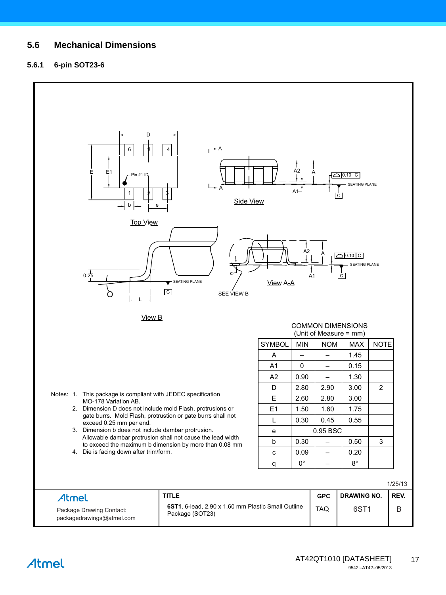#### $5.6$ **Mechanical Dimensions**

#### $5.6.1$ 6-pin SOT23-6

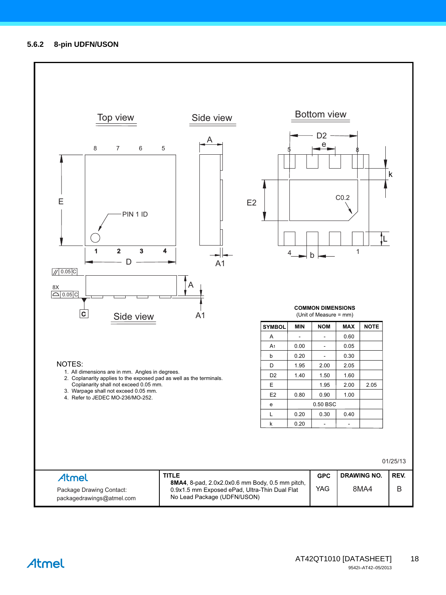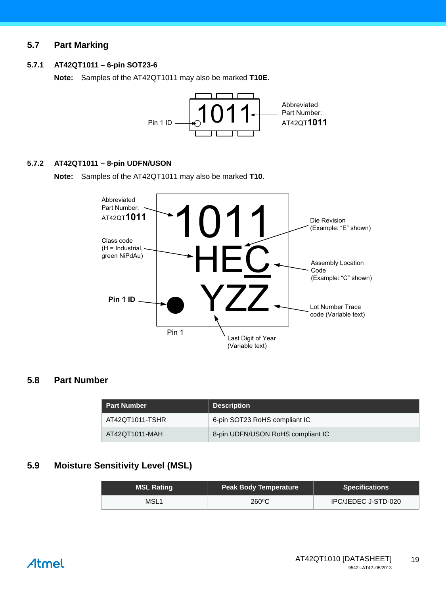### **5.7 Part Marking**

#### **5.7.1 AT42QT1011 – 6-pin SOT23-6**

**Note:** Samples of the AT42QT1011 may also be marked **T10E**.



#### **5.7.2 AT42QT1011 – 8-pin UDFN/USON**

**Note:** Samples of the AT42QT1011 may also be marked **T10**.



#### **5.8 Part Number**

| l Part Number <sup>i</sup> | <b>Description</b>                |
|----------------------------|-----------------------------------|
| AT42QT1011-TSHR            | 6-pin SOT23 RoHS compliant IC     |
| AT42QT1011-MAH             | 8-pin UDFN/USON RoHS compliant IC |

#### **5.9 Moisture Sensitivity Level (MSL)**

| <b>MSL Rating</b> | <b>Peak Body Temperature</b> | <b>Specifications</b> |
|-------------------|------------------------------|-----------------------|
| MSL1              | $260^{\circ}$ C              | IPC/JEDEC J-STD-020   |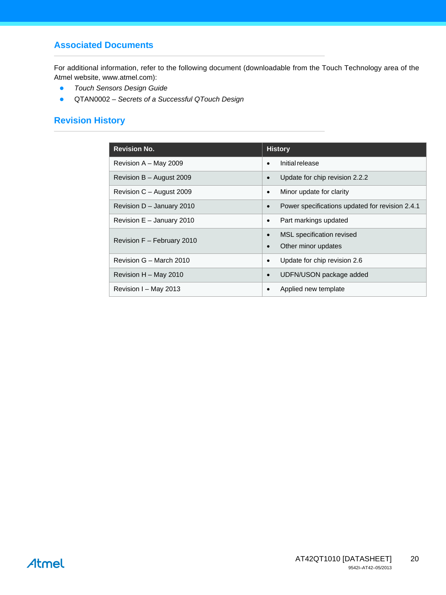### **Associated Documents**

For additional information, refer to the following document (downloadable from the Touch Technology area of the Atmel website, www.atmel.com):

- *Touch Sensors Design Guide*
- QTAN0002 *Secrets of a Successful QTouch Design*

## **Revision History**

| <b>Revision No.</b>        | <b>History</b>                                               |
|----------------------------|--------------------------------------------------------------|
|                            |                                                              |
| Revision $A - May 2009$    | Initial release<br>$\bullet$                                 |
| Revision B - August 2009   | Update for chip revision 2.2.2<br>$\bullet$                  |
| Revision C - August 2009   | Minor update for clarity<br>$\bullet$                        |
| Revision D - January 2010  | Power specifications updated for revision 2.4.1<br>$\bullet$ |
| Revision E - January 2010  | Part markings updated<br>$\bullet$                           |
| Revision F - February 2010 | MSL specification revised<br>$\bullet$                       |
|                            | Other minor updates                                          |
| Revision G - March 2010    | Update for chip revision 2.6<br>$\bullet$                    |
| Revision H - May 2010      | UDFN/USON package added<br>$\bullet$                         |
| Revision I - May 2013      | Applied new template                                         |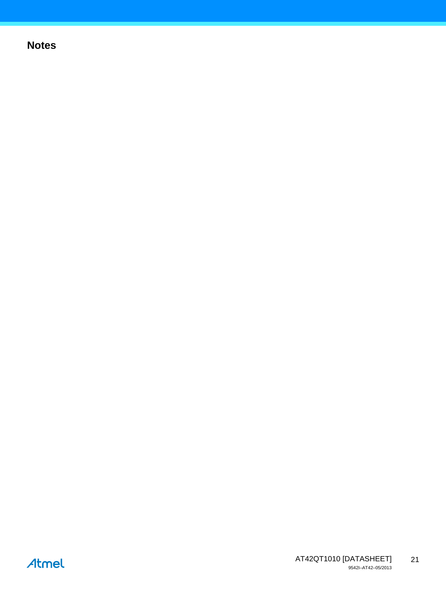# **Notes**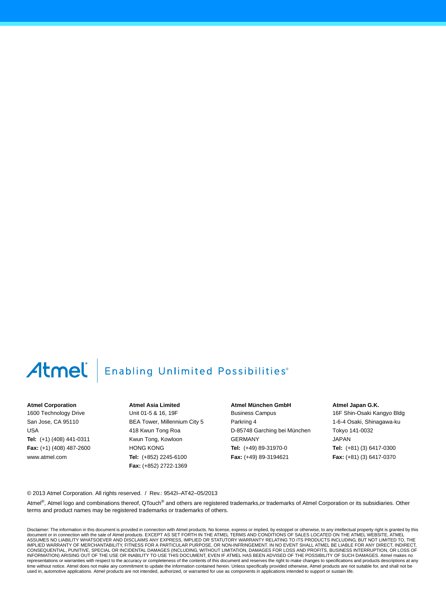# **Enabling Unlimited Possibilities**®

#### **Atmel Corporation**

1600 Technology Drive San Jose, CA 95110 USA **Tel:** (+1) (408) 441-0311 **Fax:** (+1) (408) 487-2600 www.atmel.com

**Atmel Asia Limited** Unit 01-5 & 16, 19F BEA Tower, Millennium City 5 418 Kwun Tong Roa Kwun Tong, Kowloon HONG KONG **Tel:** (+852) 2245-6100 **Fax:** (+852) 2722-1369

**Atmel München GmbH** Business Campus Parkring 4 D-85748 Garching bei München GERMANY **Tel:** (+49) 89-31970-0 **Fax:** (+49) 89-3194621

**Atmel Japan G.K.**

16F Shin-Osaki Kangyo Bldg 1-6-4 Osaki, Shinagawa-ku Tokyo 141-0032 JAPAN **Tel:** (+81) (3) 6417-0300 **Fax:** (+81) (3) 6417-0370

© 2013 Atmel Corporation. All rights reserved. / Rev.: 9542I–AT42–05/2013

Atmel®, Atmel logo and combinations thereof, QTouch® and others are registered trademarks,or trademarks of Atmel Corporation or its subsidiaries. Other terms and product names may be registered trademarks or trademarks of others.

Disclaimer: The information in this document is provided in connection with Atmel products. No license, express or implied, by estoppel or otherwise, to any intellectual property right is granted by this document or in connection with the sale of Atmel products. EXCEPT AS SET FORTH IN THE ATMEL TERMS AND CONDITIONS OF SALES LOCATED ON THE ATMEL WEBSITE, ATMEL<br>ASSUMES NO LIABILITY WHATSOEVER AND DISCLAIMS ANY EXPRESS, IMPLI IMPLIED WARRANTY OF MERCHANTABILITY, FITNESS FOR A PARTICULAR PURPOSE, OR NON-INFRINGEMENT. IN NO EVENT SHALL ATMEL BE LIABLE FOR ANY DIRECT, INDIRECT, CONSEQUENTIAL, PUNITIVE, SPECIAL OR INCIDENTAL DAMAGES (INCLUDING, WITHOUT LIMITATION, DAMAGES FOR LOSS AND PROFITS, BUSINESS INTERRUPTION, OR LOSS OF<br>INFORMATION) ARISING OUT OF THE USE OR INABILITY TO USE THIS DOCUMENT, representations or warranties with respect to the accuracy or completeness of the contents of this document and reserves the right to make changes to specifications and products descriptions at any<br>time without notice. Atm used in, automotive applications. Atmel products are not intended, authorized, or warranted for use as components in applications intended to support or sustain life.